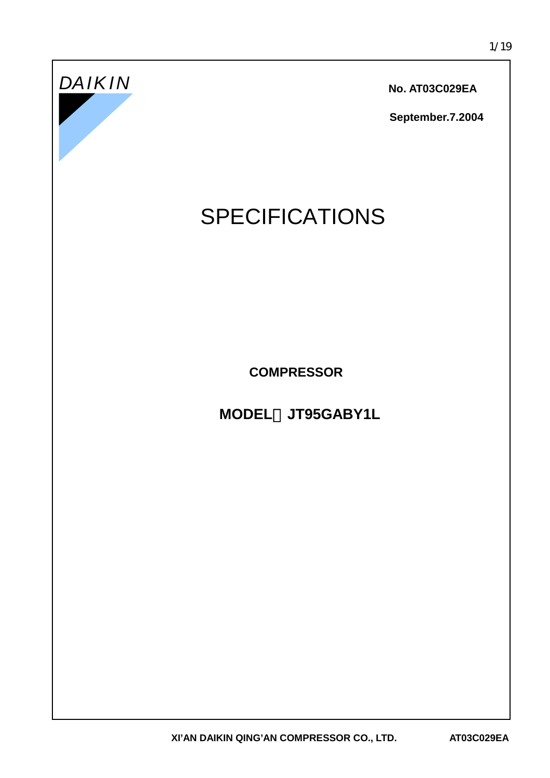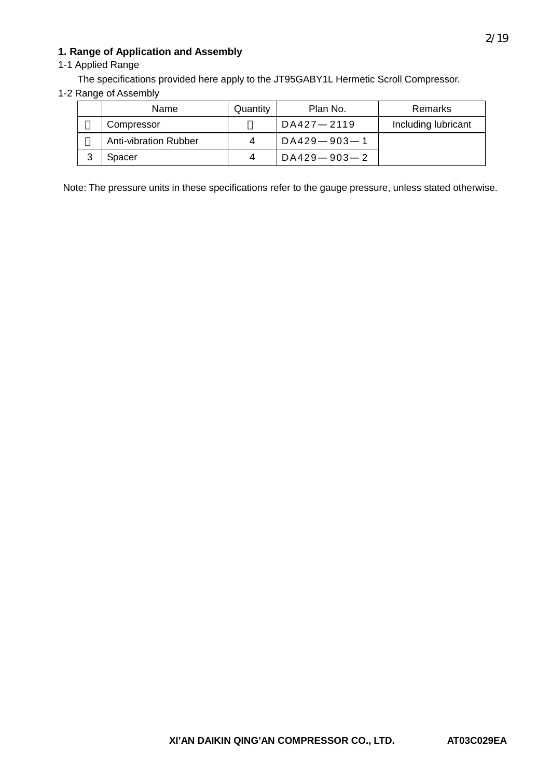# **1. Range of Application and Assembly**

# 1-1 Applied Range

The specifications provided here apply to the JT95GABY1L Hermetic Scroll Compressor.

#### 1-2 Range of Assembly

| Name                         | Quantity | Plan No.          | Remarks             |
|------------------------------|----------|-------------------|---------------------|
| Compressor                   |          | DA427-2119        | Including lubricant |
| <b>Anti-vibration Rubber</b> |          | $DA429 - 903 - 1$ |                     |
| Spacer                       | 4        | $DA429 - 903 - 2$ |                     |

Note: The pressure units in these specifications refer to the gauge pressure, unless stated otherwise.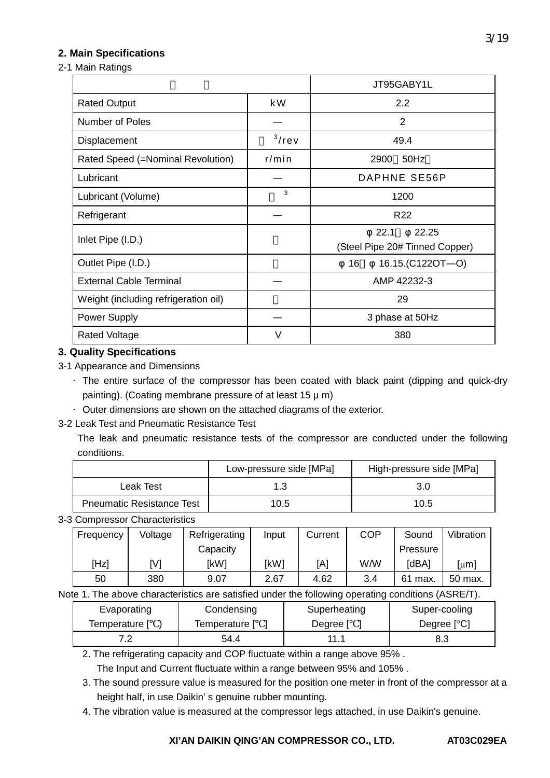# **2. Main Specifications**

2-1 Main Ratings

|                                      |          | JT95GABY1L                                      |
|--------------------------------------|----------|-------------------------------------------------|
| <b>Rated Output</b>                  | k W      | 2.2                                             |
| Number of Poles                      |          | 2                                               |
| Displacement                         | $3$ /rev | 49.4                                            |
| Rated Speed (=Nominal Revolution)    | $r/m$ in | 50Hz<br>2900                                    |
| Lubricant                            |          | DAPHNE SE56P                                    |
| Lubricant (Volume)                   | 3        | 1200                                            |
| Refrigerant                          |          | R <sub>22</sub>                                 |
| Inlet Pipe (I.D.)                    |          | 22.25<br>22.1<br>(Steel Pipe 20# Tinned Copper) |
| Outlet Pipe (I.D.)                   |          | 16.15.(C122OT-O)<br>16                          |
| <b>External Cable Terminal</b>       |          | AMP 42232-3                                     |
| Weight (including refrigeration oil) |          | 29                                              |
| Power Supply                         |          | 3 phase at 50Hz                                 |
| <b>Rated Voltage</b>                 | V        | 380                                             |

### **3. Quality Specifications**

3-1 Appearance and Dimensions

·The entire surface of the compressor has been coated with black paint (dipping and quick-dry painting). (Coating membrane pressure of at least  $15 \mu$  m)

·Outer dimensions are shown on the attached diagrams of the exterior.

#### 3-2 Leak Test and Pneumatic Resistance Test

The leak and pneumatic resistance tests of the compressor are conducted under the following conditions.

|                                  | Low-pressure side [MPa] | High-pressure side [MPa] |
|----------------------------------|-------------------------|--------------------------|
| Leak Test                        | 1 2                     | 3.C                      |
| <b>Pneumatic Resistance Test</b> | 10.5                    | 10.5                     |

3-3 Compressor Characteristics

| Frequency | Voltage | Refrigerating | Input | Current | <b>COP</b> | Sound      | Vibration |
|-----------|---------|---------------|-------|---------|------------|------------|-----------|
|           |         | Capacity      |       |         |            | Pressure   |           |
| [Hz]      | [V]     | [kW]          | [kW]  | [A]     | W/W        | [dBA]      | [µm]      |
| 50        | 380     | 9.07          | 2.67  | 4.62    | 3.4        | 61<br>max. | 50 max.   |

Note 1. The above characteristics are satisfied under the following operating conditions (ASRE/T).

| Evaporating   | Condensing    | Superheating | Super-cooling |
|---------------|---------------|--------------|---------------|
| Temperature l | Temperature [ | Degree       | Degree $[°C]$ |
|               | 54.4          | 11.1         | 8.3           |

2. The refrigerating capacity and COP fluctuate within a range above 95% .

The Input and Current fluctuate within a range between 95% and 105% .

- 3. The sound pressure value is measured for the position one meter in front of the compressor at a height half, in use Daikin' s genuine rubber mounting.
- 4. The vibration value is measured at the compressor legs attached, in use Daikin's genuine.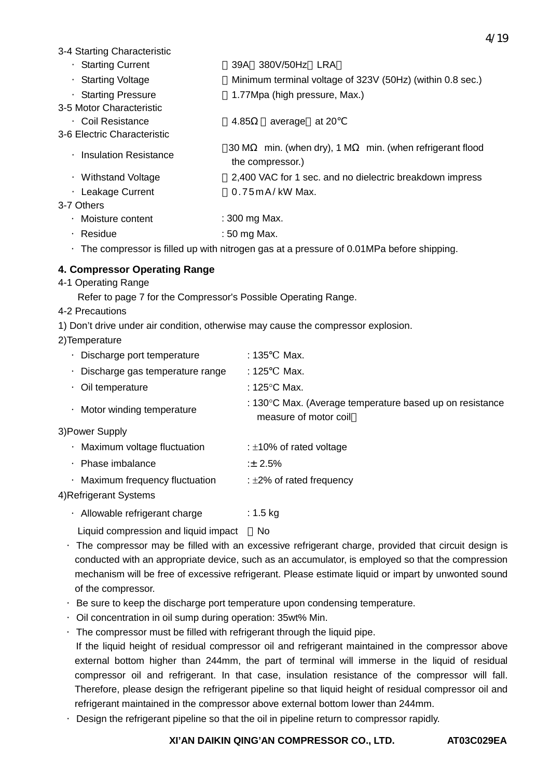3-4 Starting Characteristic

- ·Starting Current 39A 380V/50Hz LRA
- ·Starting Voltage Minimum terminal voltage of 323V (50Hz) (within 0.8 sec.)
- ·Starting Pressure 1.77Mpa (high pressure, Max.)
- 3-5 Motor Characteristic
- ·Coil Resistance 4.85Ω(average at 20 3-6 Electric Characteristic
	- ·Insulation Resistance 30 M min. (when dry), 1 M min. (when refrigerant flood the compressor.)
	- ·Withstand Voltage 2,400 VAC for 1 sec. and no dielectric breakdown impress
	- ·Leakage Current 0.75mA/ kW Max.

# 3-7 Others

- ·Moisture content : 300 mg Max.
- · Residue : 50 mg Max.
- $\cdot$  The compressor is filled up with nitrogen gas at a pressure of 0.01MPa before shipping.

# **4. Compressor Operating Range**

4-1 Operating Range

Refer to page 7 for the Compressor's Possible Operating Range.

- 4-2 Precautions
- 1) Don't drive under air condition, otherwise may cause the compressor explosion.
- 2)Temperature

|           | Discharge port temperature      | :135<br>Max.                                                                                |
|-----------|---------------------------------|---------------------------------------------------------------------------------------------|
|           | Discharge gas temperature range | :125<br>Max.                                                                                |
|           | Oil temperature                 | : 125 $\degree$ C Max.                                                                      |
|           | Motor winding temperature       | : $130^{\circ}$ C Max. (Average temperature based up on resistance<br>measure of motor coil |
|           | 3)Power Supply                  |                                                                                             |
| $\bullet$ | Maximum voltage fluctuation     | : $\pm$ 10% of rated voltage                                                                |
|           | Phase imbalance                 | $\pm 2.5\%$                                                                                 |
|           | Maximum frequency fluctuation   | : $\pm 2\%$ of rated frequency                                                              |
|           |                                 |                                                                                             |

4)Refrigerant Systems

- · Allowable refrigerant charge : 1.5 kg
	- Liquid compression and liquid impact No
- ·The compressor may be filled with an excessive refrigerant charge, provided that circuit design is conducted with an appropriate device, such as an accumulator, is employed so that the compression mechanism will be free of excessive refrigerant. Please estimate liquid or impart by unwonted sound of the compressor.
- ·Be sure to keep the discharge port temperature upon condensing temperature.
- ·Oil concentration in oil sump during operation: 35wt% Min.
- ·The compressor must be filled with refrigerant through the liquid pipe.
- If the liquid height of residual compressor oil and refrigerant maintained in the compressor above external bottom higher than 244mm, the part of terminal will immerse in the liquid of residual compressor oil and refrigerant. In that case, insulation resistance of the compressor will fall. Therefore, please design the refrigerant pipeline so that liquid height of residual compressor oil and refrigerant maintained in the compressor above external bottom lower than 244mm.
- ·Design the refrigerant pipeline so that the oil in pipeline return to compressor rapidly.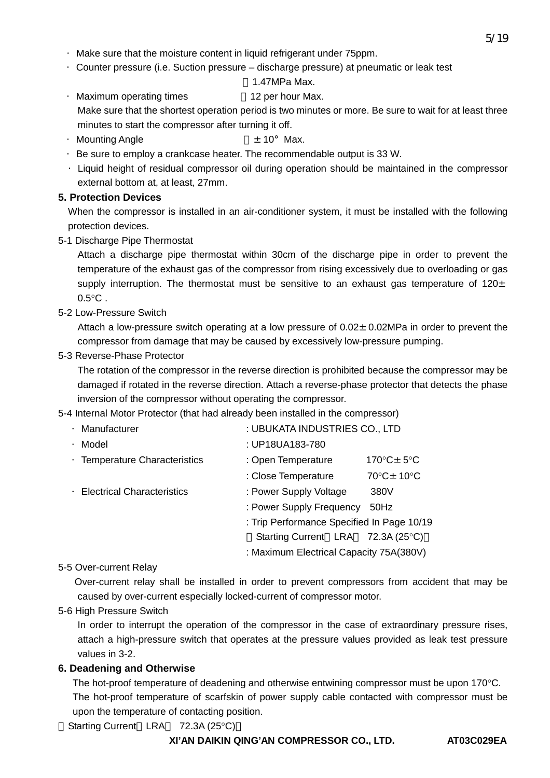- ·Make sure that the moisture content in liquid refrigerant under 75ppm.
- ·Counter pressure (i.e. Suction pressure discharge pressure) at pneumatic or leak test

# 1.47MPa Max.

- ·Maximum operating times 12 per hour Max. Make sure that the shortest operation period is two minutes or more. Be sure to wait for at least three minutes to start the compressor after turning it off.
- ·Mounting Angle :±10°Max.
- ·Be sure to employ a crankcase heater. The recommendable output is 33 W.
- ·Liquid height of residual compressor oil during operation should be maintained in the compressor external bottom at, at least, 27mm.

# **5. Protection Devices**

When the compressor is installed in an air-conditioner system, it must be installed with the following protection devices.

5-1 Discharge Pipe Thermostat

Attach a discharge pipe thermostat within 30cm of the discharge pipe in order to prevent the temperature of the exhaust gas of the compressor from rising excessively due to overloading or gas supply interruption. The thermostat must be sensitive to an exhaust gas temperature of  $120<sub>±</sub>$  $0.5^{\circ}$ C.

5-2 Low-Pressure Switch

Attach a low-pressure switch operating at a low pressure of  $0.02±0.02MPa$  in order to prevent the compressor from damage that may be caused by excessively low-pressure pumping.

## 5-3 Reverse-Phase Protector

The rotation of the compressor in the reverse direction is prohibited because the compressor may be damaged if rotated in the reverse direction. Attach a reverse-phase protector that detects the phase inversion of the compressor without operating the compressor.

## 5-4 Internal Motor Protector (that had already been installed in the compressor)

| Manufacturer                      | : UBUKATA INDUSTRIES CO., LTD              |                                       |
|-----------------------------------|--------------------------------------------|---------------------------------------|
| Model                             | : UP18UA183-780                            |                                       |
| · Temperature Characteristics     | : Open Temperature                         | 170 $^{\circ}$ C $\pm$ 5 $^{\circ}$ C |
|                                   | : Close Temperature                        | 70°C± 10°C                            |
| <b>Electrical Characteristics</b> | : Power Supply Voltage                     | 380V                                  |
|                                   | : Power Supply Frequency                   | 50Hz                                  |
|                                   | : Trip Performance Specified In Page 10/19 |                                       |
|                                   | Starting Current LRA 72.3A (25°C)          |                                       |
|                                   | : Maximum Electrical Capacity 75A(380V)    |                                       |

#### 5-5 Over-current Relay

 Over-current relay shall be installed in order to prevent compressors from accident that may be caused by over-current especially locked-current of compressor motor.

## 5-6 High Pressure Switch

In order to interrupt the operation of the compressor in the case of extraordinary pressure rises, attach a high-pressure switch that operates at the pressure values provided as leak test pressure values in 3-2.

## **6. Deadening and Otherwise**

The hot-proof temperature of deadening and otherwise entwining compressor must be upon 170°C. The hot-proof temperature of scarfskin of power supply cable contacted with compressor must be upon the temperature of contacting position.

Starting Current LRA 72.3A (25°C)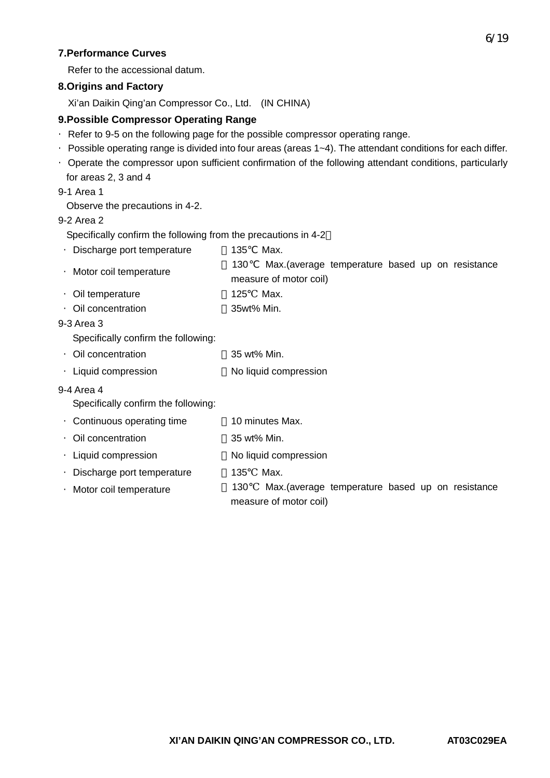## **7.Performance Curves**

Refer to the accessional datum.

# **8.Origins and Factory**

Xi'an Daikin Qing'an Compressor Co., Ltd. (IN CHINA)

# **9.Possible Compressor Operating Range**

- ·Refer to 9-5 on the following page for the possible compressor operating range.
- ·Possible operating range is divided into four areas (areas 1~4). The attendant conditions for each differ.
- ·Operate the compressor upon sufficient confirmation of the following attendant conditions, particularly for areas 2, 3 and 4

9-1 Area 1

Observe the precautions in 4-2.

### 9-2 Area 2

Specifically confirm the following from the precautions in 4-2

|            | Discharge port temperature          | 135         | Max.                                             |
|------------|-------------------------------------|-------------|--------------------------------------------------|
|            |                                     | 130         | Max. (average temperature based up on resistance |
|            | · Motor coil temperature            |             | measure of motor coil)                           |
|            | Oil temperature                     | 125         | Max.                                             |
|            | Oil concentration                   | 35wt% Min.  |                                                  |
| 9-3 Area 3 |                                     |             |                                                  |
|            | Specifically confirm the following: |             |                                                  |
|            | Oil concentration                   | 35 wt% Min. |                                                  |
|            | Liquid compression                  |             | No liquid compression                            |
| 9-4 Area 4 |                                     |             |                                                  |
|            | Specifically confirm the following: |             |                                                  |
|            | Continuous operating time           |             | 10 minutes Max.                                  |
|            | Oil concentration                   | 35 wt% Min. |                                                  |
|            | Liquid compression                  |             | No liquid compression                            |
|            | Discharge port temperature          | 135         | Max.                                             |
|            | Motor coil temperature              | 130         | Max. (average temperature based up on resistance |
|            |                                     |             | measure of motor coil)                           |
|            |                                     |             |                                                  |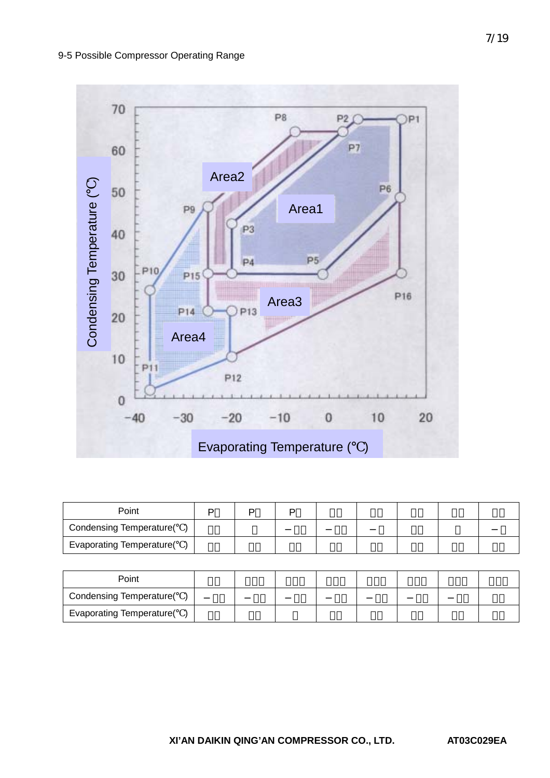### 9-5 Possible Compressor Operating Range



| Point                           |  |  |  |  |
|---------------------------------|--|--|--|--|
| <b>Condensing Temperature(</b>  |  |  |  |  |
| <b>Evaporating Temperature(</b> |  |  |  |  |

| Point                           |  |  |  |  |
|---------------------------------|--|--|--|--|
| <b>Condensing Temperature(</b>  |  |  |  |  |
| <b>Evaporating Temperature(</b> |  |  |  |  |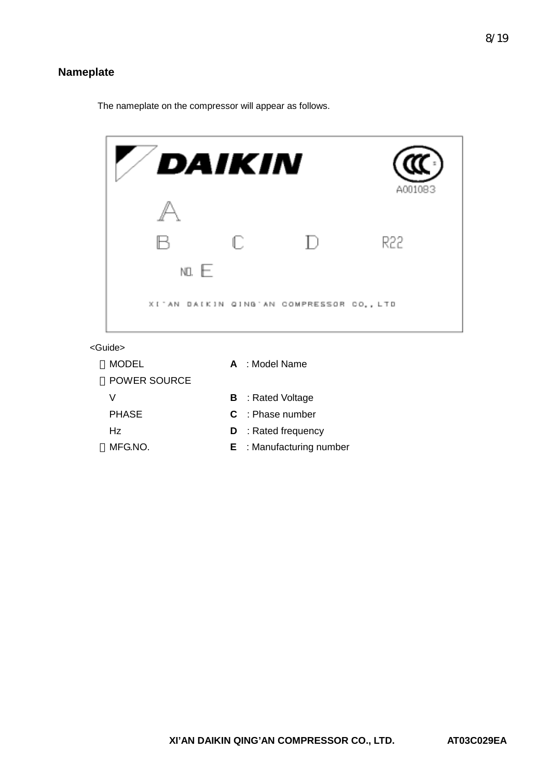# **Nameplate**

The nameplate on the compressor will appear as follows.

|         | DAIKIN                                   |        | A001083 |
|---------|------------------------------------------|--------|---------|
|         |                                          |        |         |
|         | ſ.                                       | $\Box$ | R22     |
| NO. $E$ |                                          |        |         |
|         | XI'AN DAIKIN QING'AN COMPRESSOR CO., LTD |        |         |

<Guide>

| MODEL               | $A \cdot$ Model Name       |
|---------------------|----------------------------|
| <b>POWER SOURCE</b> |                            |
| V                   | <b>B</b> : Rated Voltage   |
| <b>PHASE</b>        | $C \cdot$ Phase number     |
| Hz.                 | <b>D</b> : Rated frequency |
| MFG.NO.             | $E$ : Manufacturing number |
|                     |                            |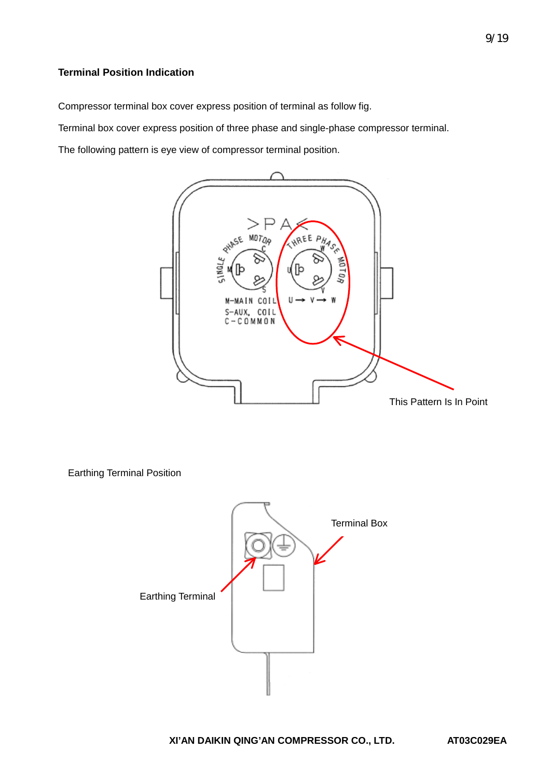# **Terminal Position Indication**

Compressor terminal box cover express position of terminal as follow fig.

Terminal box cover express position of three phase and single-phase compressor terminal.

The following pattern is eye view of compressor terminal position.



Earthing Terminal Position

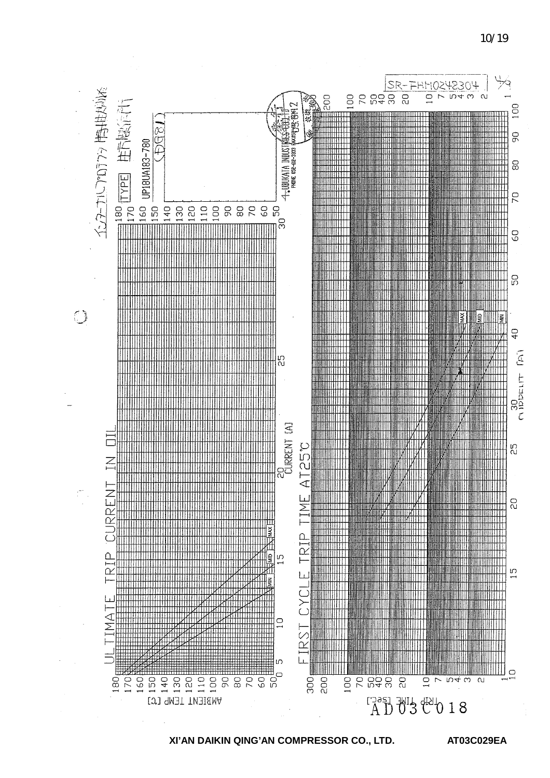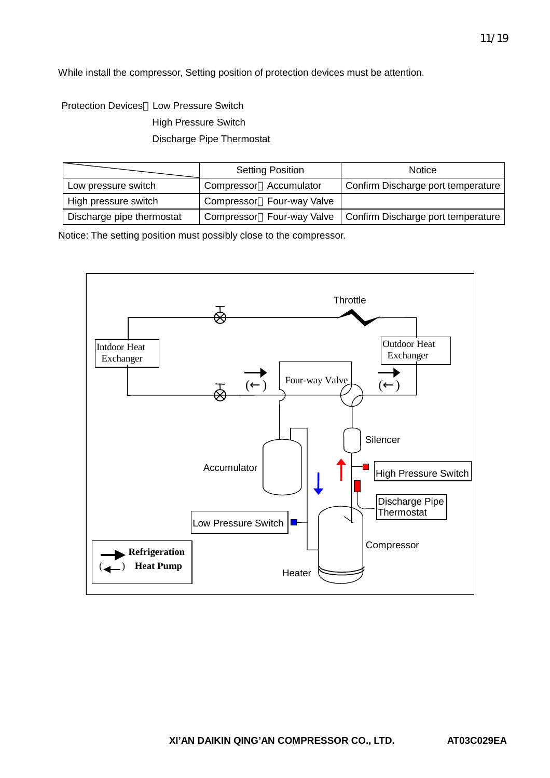While install the compressor, Setting position of protection devices must be attention.

Protection Devices Low Pressure Switch High Pressure Switch Discharge Pipe Thermostat

|                           |                        | <b>Setting Position</b>   | Notice                                                         |
|---------------------------|------------------------|---------------------------|----------------------------------------------------------------|
| Low pressure switch       | Compressor Accumulator |                           | Confirm Discharge port temperature                             |
| High pressure switch      |                        | Compressor Four-way Valve |                                                                |
| Discharge pipe thermostat |                        |                           | Compressor Four-way Valve   Confirm Discharge port temperature |

Notice: The setting position must possibly close to the compressor.

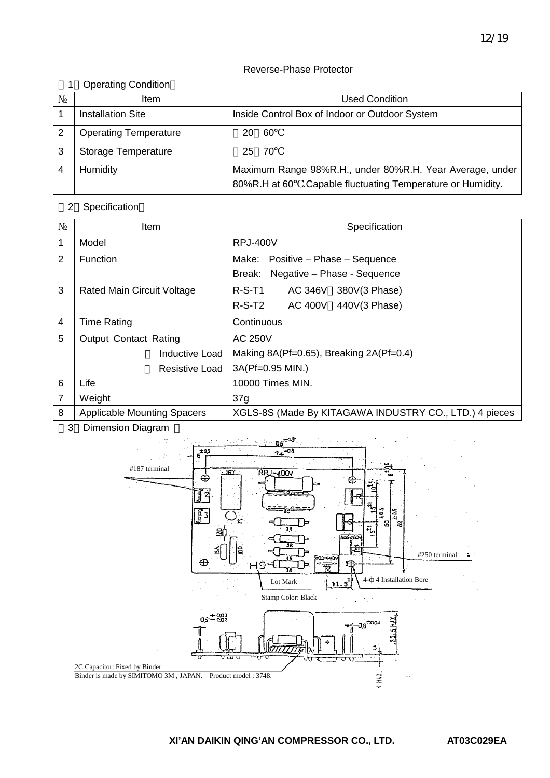#### Reverse-Phase Protector

### 1 Operating Condition

|   | ltem                         | <b>Used Condition</b>                                                                                                  |  |
|---|------------------------------|------------------------------------------------------------------------------------------------------------------------|--|
|   | <b>Installation Site</b>     | Inside Control Box of Indoor or Outdoor System                                                                         |  |
|   | <b>Operating Temperature</b> | -60<br>20.                                                                                                             |  |
| 3 | <b>Storage Temperature</b>   | 25 70                                                                                                                  |  |
|   | Humidity                     | Maximum Range 98%R.H., under 80%R.H. Year Average, under<br>80%R.H at 60 .Capable fluctuating Temperature or Humidity. |  |

### 2 Specification

|                | ltem                               | Specification                                          |  |  |  |
|----------------|------------------------------------|--------------------------------------------------------|--|--|--|
| 1              | Model                              | <b>RPJ-400V</b>                                        |  |  |  |
| $\overline{2}$ | <b>Function</b>                    | Positive - Phase - Sequence<br>Make:                   |  |  |  |
|                |                                    | Negative - Phase - Sequence<br>Break:                  |  |  |  |
| 3              | Rated Main Circuit Voltage         | $R-S-T1$<br><b>AC 346V</b><br>380V(3 Phase)            |  |  |  |
|                |                                    | $R-S-T2$<br>AC 400V 440V(3 Phase)                      |  |  |  |
| $\overline{4}$ | <b>Time Rating</b>                 | Continuous                                             |  |  |  |
| 5              | <b>Output Contact Rating</b>       | <b>AC 250V</b>                                         |  |  |  |
|                | Inductive Load                     | Making 8A(Pf=0.65), Breaking 2A(Pf=0.4)                |  |  |  |
|                | <b>Resistive Load</b>              | 3A(Pf=0.95 MIN.)                                       |  |  |  |
| 6              | Life                               | 10000 Times MIN.                                       |  |  |  |
| $\overline{7}$ | Weight                             | 37g                                                    |  |  |  |
| 8              | <b>Applicable Mounting Spacers</b> | XGLS-8S (Made By KITAGAWA INDUSTRY CO., LTD.) 4 pieces |  |  |  |

3 Dimension Diagram

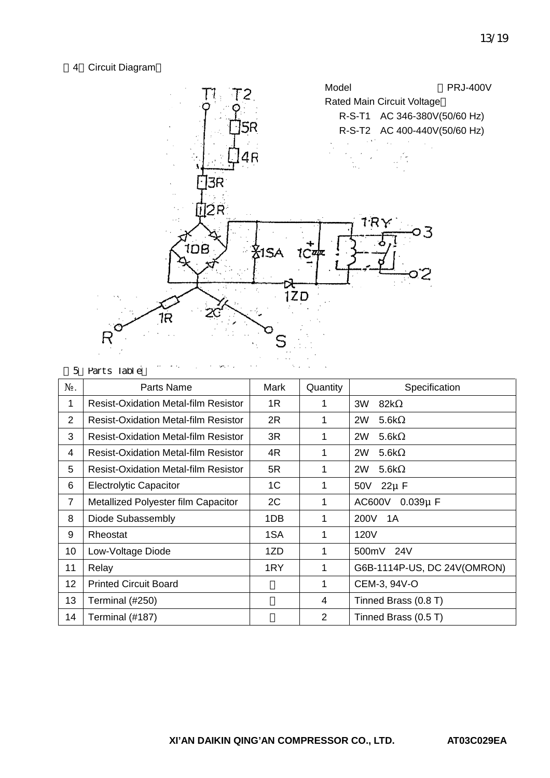### 4 Circuit Diagram



| 5              | the control of the control of the second control of the control of the control of the control of the control of<br>Parts Table |                |                |                             |
|----------------|--------------------------------------------------------------------------------------------------------------------------------|----------------|----------------|-----------------------------|
|                | Parts Name                                                                                                                     | Mark           | Quantity       | Specification               |
| 1              | <b>Resist-Oxidation Metal-film Resistor</b>                                                                                    | 1R             |                | 3W<br>82k                   |
| 2              | <b>Resist-Oxidation Metal-film Resistor</b>                                                                                    | 2R             | 1              | 2W<br>5.6k                  |
| 3              | <b>Resist-Oxidation Metal-film Resistor</b>                                                                                    | 3R             | 1              | 2W<br>5.6k                  |
| 4              | <b>Resist-Oxidation Metal-film Resistor</b>                                                                                    | 4R             | 1              | 2W<br>5.6k                  |
| 5              | <b>Resist-Oxidation Metal-film Resistor</b>                                                                                    | 5R             |                | 2W<br>5.6k                  |
| 6              | <b>Electrolytic Capacitor</b>                                                                                                  | 1 <sup>C</sup> | 1              | 50V 22µ F                   |
| $\overline{7}$ | Metallized Polyester film Capacitor                                                                                            | 2C             | 1              | AC600V 0.039µ F             |
| 8              | Diode Subassembly                                                                                                              | 1DB            |                | 200V 1A                     |
| 9              | Rheostat                                                                                                                       | 1SA            | 1              | 120V                        |
| 10             | Low-Voltage Diode                                                                                                              | 1ZD            | 1              | 500mV 24V                   |
| 11             | Relay                                                                                                                          | 1RY            | 1              | G6B-1114P-US, DC 24V(OMRON) |
| 12             | <b>Printed Circuit Board</b>                                                                                                   |                | 1              | CEM-3, 94V-O                |
| 13             | Terminal (#250)                                                                                                                |                | 4              | Tinned Brass (0.8 T)        |
| 14             | Terminal (#187)                                                                                                                |                | $\overline{2}$ | Tinned Brass (0.5 T)        |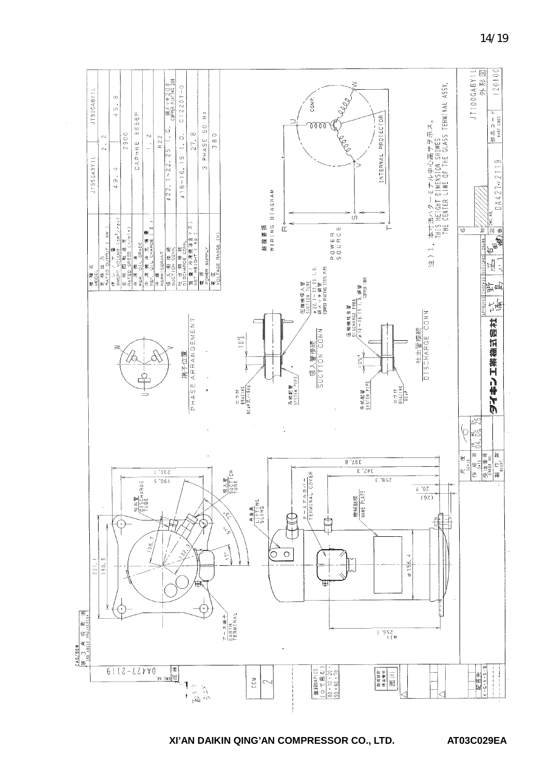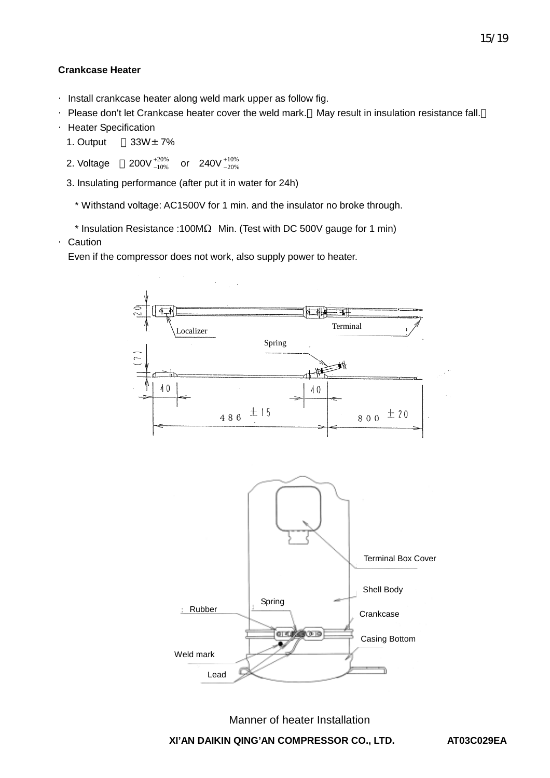#### **Crankcase Heater**

·Install crankcase heater along weld mark upper as follow fig.

·Please don't let Crankcase heater cover the weld mark. May result in insulation resistance fall.

·Heater Specification

1. Output  $33W<sub>±</sub> 7%$ 

2. Voltage  $200V^{+20\%}_{-10\%}$  or  $240V^{+10\%}_{-20\%}$ 10% + − 20% + −

3. Insulating performance (after put it in water for 24h)

\* Withstand voltage: AC1500V for 1 min. and the insulator no broke through.

\* Insulation Resistance :100M Min. (Test with DC 500V gauge for 1 min)

·Caution

Even if the compressor does not work, also supply power to heater.

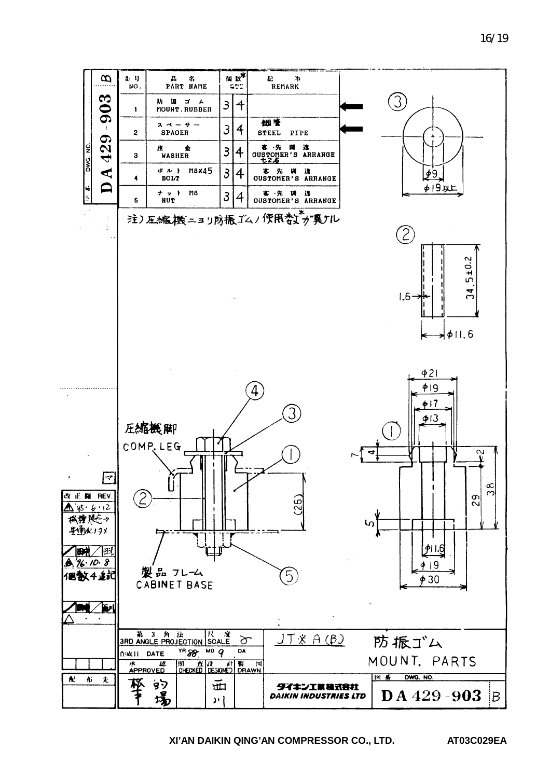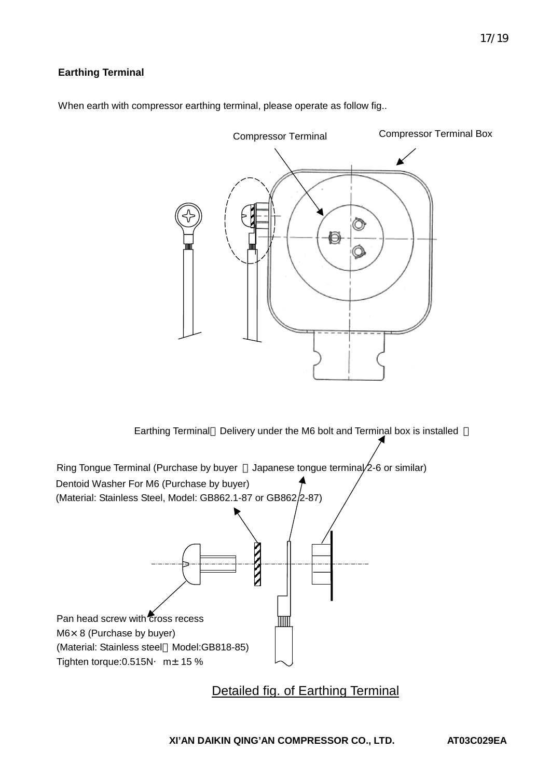# **Earthing Terminal**



When earth with compressor earthing terminal, please operate as follow fig..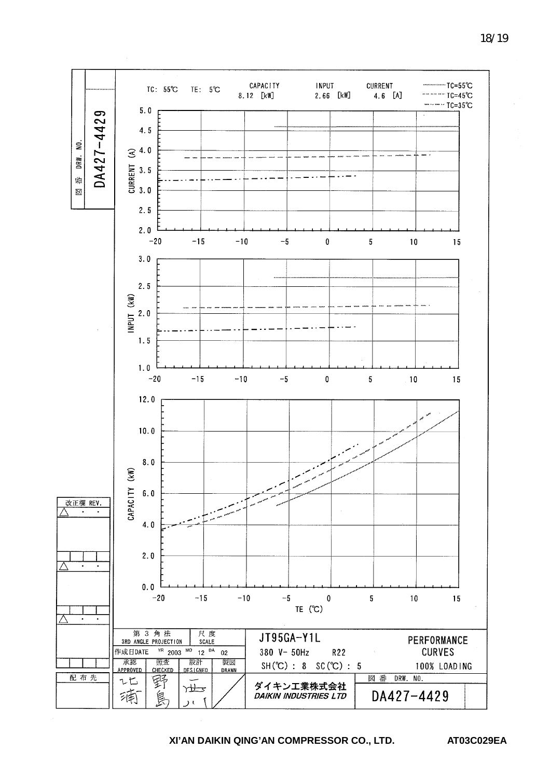